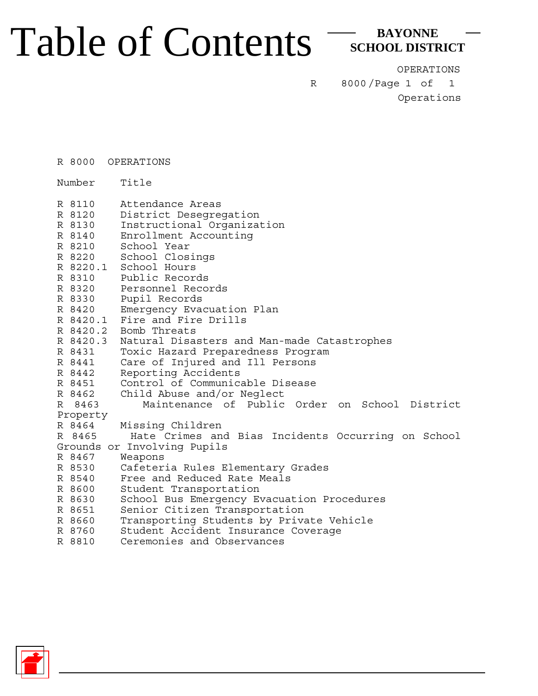## Table of Contents

**BAYONNE SCHOOL DISTRICT**

OPERATIONS

8000/Page 1 of Operations 1

R

R 8000 OPERATIONS

Number Title

|          | R 8110   | Attendance Areas                                   |
|----------|----------|----------------------------------------------------|
|          | R 8120   | District Desegregation                             |
|          | R 8130   | Instructional Organization                         |
|          | R 8140   | Enrollment Accounting                              |
|          | R 8210   | School Year                                        |
|          | R 8220   | School Closings                                    |
|          | R 8220.1 | School Hours                                       |
|          | R 8310   | Public Records                                     |
|          | R 8320   | Personnel Records                                  |
|          | R 8330   | Pupil Records                                      |
|          | R 8420   | Emergency Evacuation Plan                          |
|          | R 8420.1 | Fire and Fire Drills                               |
|          | R 8420.2 | Bomb Threats                                       |
|          | R 8420.3 | Natural Disasters and Man-made Catastrophes        |
|          | R 8431   | Toxic Hazard Preparedness Program                  |
|          | R 8441   | Care of Injured and Ill Persons                    |
|          | R 8442   | Reporting Accidents                                |
|          | R 8451   | Control of Communicable Disease                    |
|          | R 8462   | Child Abuse and/or Neglect                         |
|          | R 8463   | Maintenance of Public Order on School District     |
| Property |          |                                                    |
|          | R 8464   | Missing Children                                   |
|          | R 8465   | Hate Crimes and Bias Incidents Occurring on School |
|          |          | Grounds or Involving Pupils                        |
|          | R 8467   | Weapons                                            |
|          | R 8530   | Cafeteria Rules Elementary Grades                  |
|          | R 8540   | Free and Reduced Rate Meals                        |
|          | R 8600   | Student Transportation                             |
|          | R 8630   | School Bus Emergency Evacuation Procedures         |
|          | R 8651   | Senior Citizen Transportation                      |
|          | R 8660   | Transporting Students by Private Vehicle           |
|          | R 8760   | Student Accident Insurance Coverage                |
|          | R 8810   | Ceremonies and Observances                         |